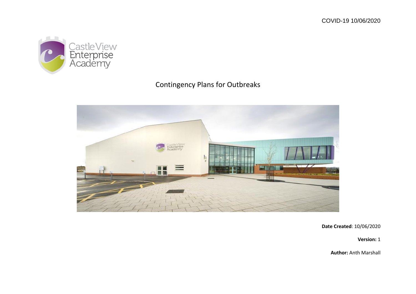

## Contingency Plans for Outbreaks



**Date Created**: 10/06/2020

**Version:** 1

**Author:** Anth Marshall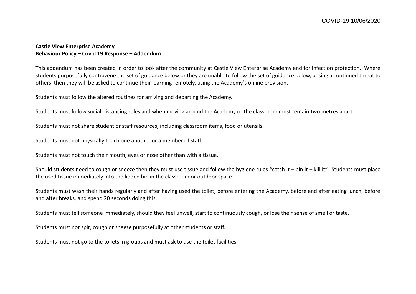## **Castle View Enterprise Academy Behaviour Policy – Covid 19 Response – Addendum**

This addendum has been created in order to look after the community at Castle View Enterprise Academy and for infection protection. Where students purposefully contravene the set of guidance below or they are unable to follow the set of guidance below, posing a continued threat to others, then they will be asked to continue their learning remotely, using the Academy's online provision.

Students must follow the altered routines for arriving and departing the Academy.

Students must follow social distancing rules and when moving around the Academy or the classroom must remain two metres apart.

Students must not share student or staff resources, including classroom items, food or utensils.

Students must not physically touch one another or a member of staff.

Students must not touch their mouth, eyes or nose other than with a tissue.

Should students need to cough or sneeze then they must use tissue and follow the hygiene rules "catch it – bin it – kill it". Students must place the used tissue immediately into the lidded bin in the classroom or outdoor space.

Students must wash their hands regularly and after having used the toilet, before entering the Academy, before and after eating lunch, before and after breaks, and spend 20 seconds doing this.

Students must tell someone immediately, should they feel unwell, start to continuously cough, or lose their sense of smell or taste.

Students must not spit, cough or sneeze purposefully at other students or staff.

Students must not go to the toilets in groups and must ask to use the toilet facilities.